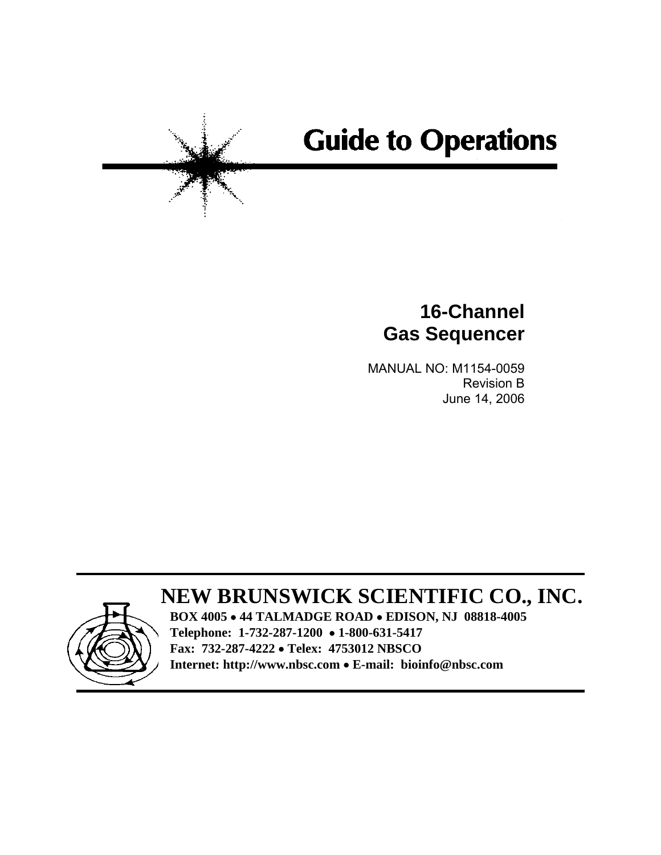# **Guide to Operations**

## **16-Channel Gas Sequencer**

MANUAL NO: M1154-0059 Revision B June 14, 2006

## **NEW BRUNSWICK SCIENTIFIC CO., INC.**



**BOX 4005** • **44 TALMADGE ROAD** • **EDISON, NJ 08818-4005 Telephone: 1-732-287-1200** • **1-800-631-5417 Fax: 732-287-4222** • **Telex: 4753012 NBSCO Internet: http://www.nbsc.com** • **E-mail: bioinfo@nbsc.com**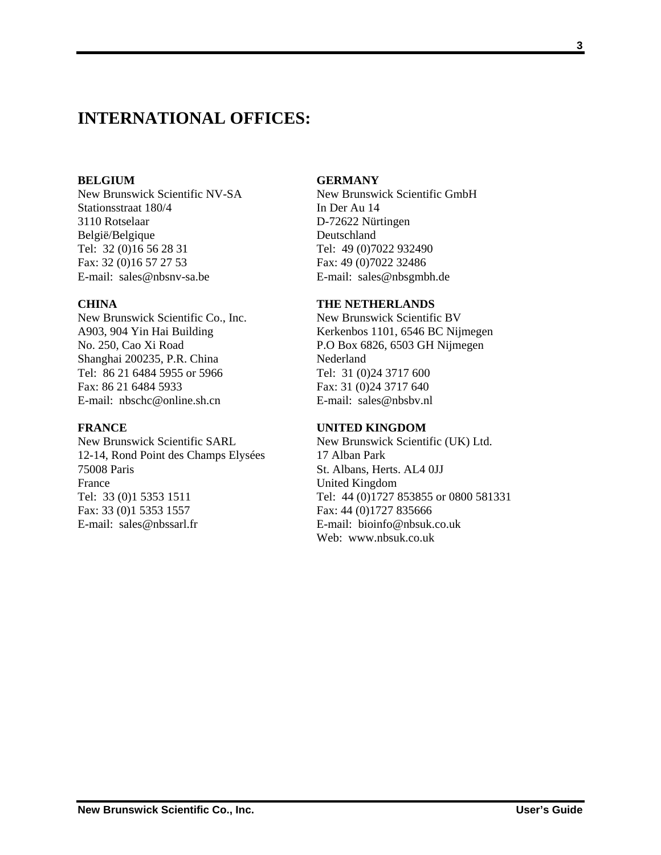### **INTERNATIONAL OFFICES:**

#### **BELGIUM**

New Brunswick Scientific NV-SA Stationsstraat 180/4 3110 Rotselaar België/Belgique Tel: 32 (0)16 56 28 31 Fax: 32 (0)16 57 27 53 E-mail: sales@nbsnv-sa.be

#### **CHINA**

New Brunswick Scientific Co., Inc. A903, 904 Yin Hai Building No. 250, Cao Xi Road Shanghai 200235, P.R. China Tel: 86 21 6484 5955 or 5966 Fax: 86 21 6484 5933 E-mail:  $nbsche@online shcn$ 

#### **FRANCE**

New Brunswick Scientific SARL 12-14, Rond Point des Champs Elysées 75008 Paris France Tel: 33 (0)1 5353 1511 Fax: 33 (0)1 5353 1557 E-mail: sales@nbssarl.fr

#### **GERMANY**

New Brunswick Scientific GmbH In Der Au 14 D-72622 Nürtingen Deutschland Tel: 49 (0)7022 932490 Fax: 49 (0)7022 32486 E-mail: sales@nbsgmbh.de

#### **THE NETHERLANDS**

New Brunswick Scientific BV Kerkenbos 1101, 6546 BC Nijmegen P.O Box 6826, 6503 GH Nijmegen Nederland Tel: 31 (0)24 3717 600 Fax: 31 (0)24 3717 640 E-mail: sales@nbsbv.nl

#### **UNITED KINGDOM**

New Brunswick Scientific (UK) Ltd. 17 Alban Park St. Albans, Herts. AL4 0JJ United Kingdom Tel: 44 (0)1727 853855 or 0800 581331 Fax: 44 (0)1727 835666 E-mail: bioinfo@nbsuk.co.uk Web: www.nbsuk.co.uk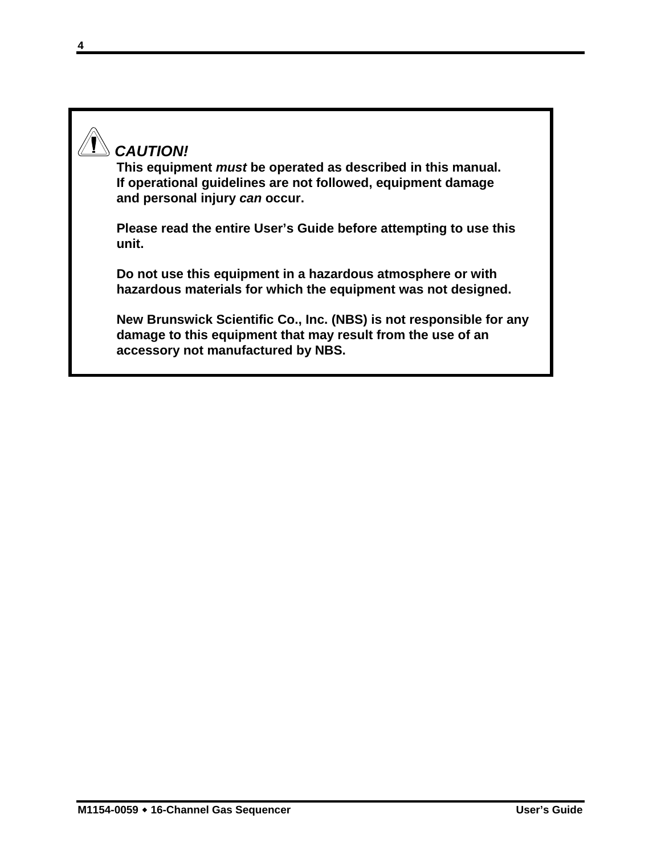## *CAUTION!*

**This equipment** *must* **be operated as described in this manual. If operational guidelines are not followed, equipment damage and personal injury** *can* **occur.** 

**Please read the entire User's Guide before attempting to use this unit.** 

**Do not use this equipment in a hazardous atmosphere or with hazardous materials for which the equipment was not designed.** 

**New Brunswick Scientific Co., Inc. (NBS) is not responsible for any damage to this equipment that may result from the use of an accessory not manufactured by NBS.**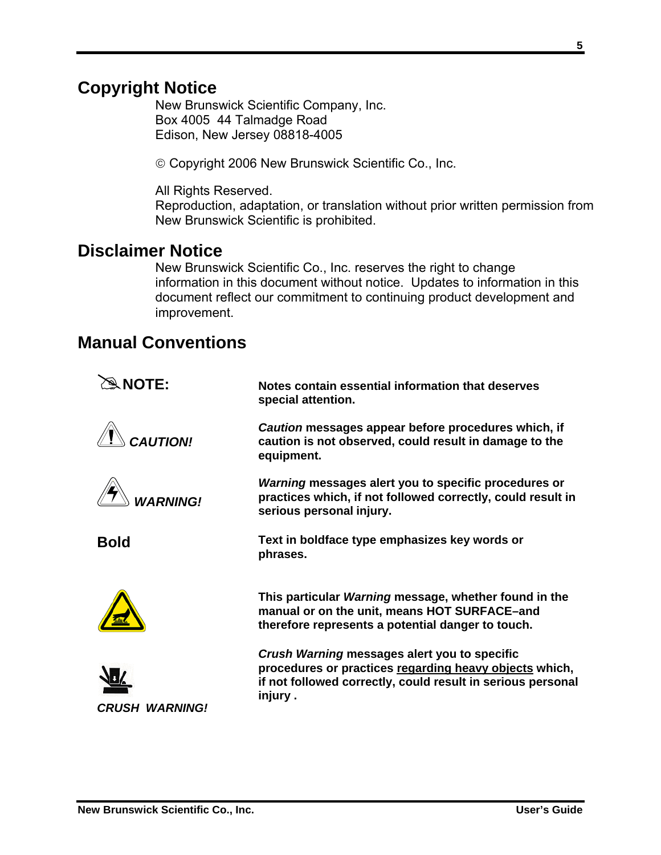## **Copyright Notice**

New Brunswick Scientific Company, Inc. Box 4005 44 Talmadge Road Edison, New Jersey 08818-4005

© Copyright 2006 New Brunswick Scientific Co., Inc.

All Rights Reserved.

Reproduction, adaptation, or translation without prior written permission from New Brunswick Scientific is prohibited.

### **Disclaimer Notice**

New Brunswick Scientific Co., Inc. reserves the right to change information in this document without notice. Updates to information in this document reflect our commitment to continuing product development and improvement.

## **Manual Conventions**

| $\hat{a}$ NOTE:              | Notes contain essential information that deserves<br>special attention.                                                                                                           |
|------------------------------|-----------------------------------------------------------------------------------------------------------------------------------------------------------------------------------|
| <b>CAUTION!</b>              | Caution messages appear before procedures which, if<br>caution is not observed, could result in damage to the<br>equipment.                                                       |
| <b>WARNING!</b>              | Warning messages alert you to specific procedures or<br>practices which, if not followed correctly, could result in<br>serious personal injury.                                   |
| <b>Bold</b>                  | Text in boldface type emphasizes key words or<br>phrases.                                                                                                                         |
|                              | This particular Warning message, whether found in the<br>manual or on the unit, means HOT SURFACE-and<br>therefore represents a potential danger to touch.                        |
| <i><b>CRUSH WARNING!</b></i> | Crush Warning messages alert you to specific<br>procedures or practices regarding heavy objects which,<br>if not followed correctly, could result in serious personal<br>injury . |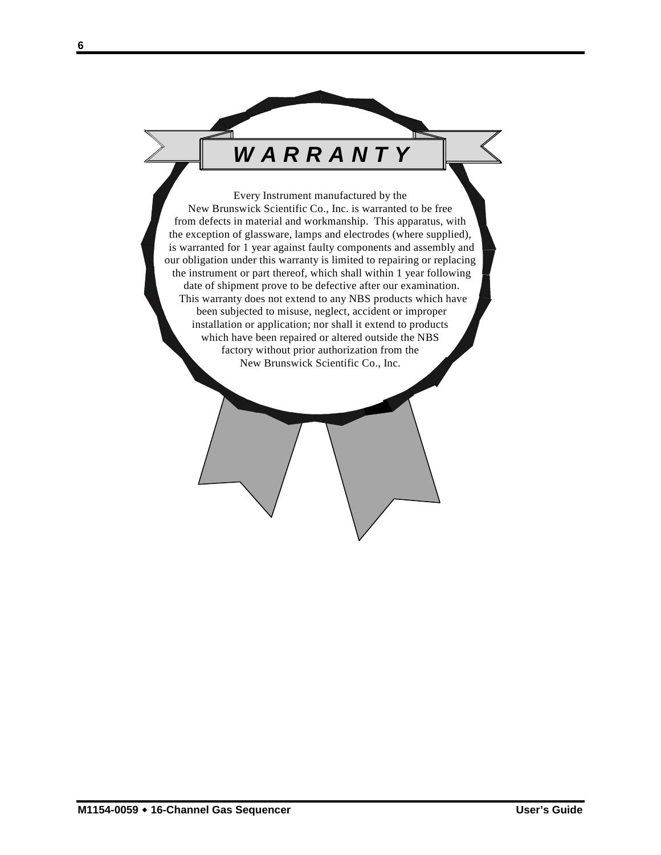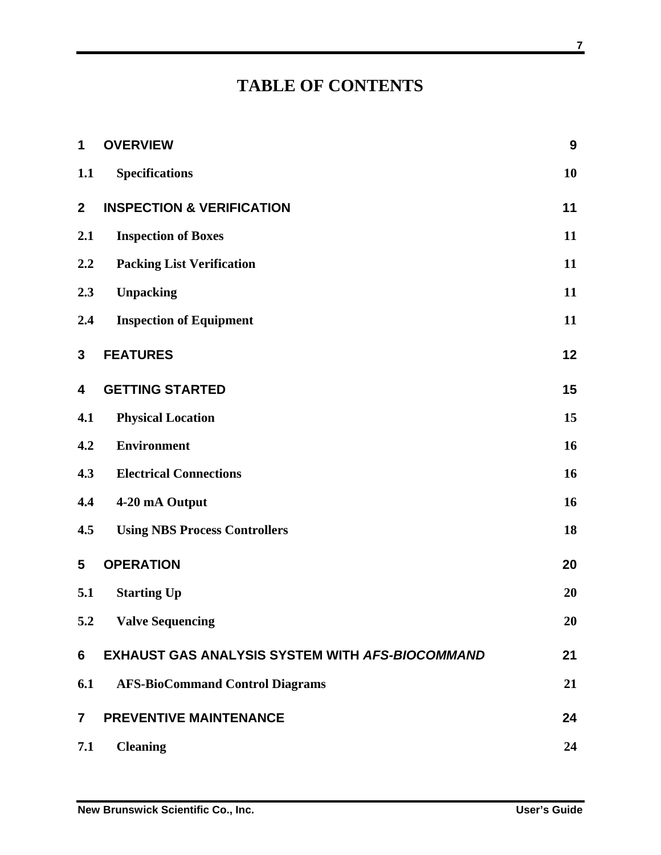## **TABLE OF CONTENTS**

| 1              | <b>OVERVIEW</b>                                        | 9  |
|----------------|--------------------------------------------------------|----|
| 1.1            | <b>Specifications</b>                                  | 10 |
| $\overline{2}$ | <b>INSPECTION &amp; VERIFICATION</b>                   | 11 |
| 2.1            | <b>Inspection of Boxes</b>                             | 11 |
| 2.2            | <b>Packing List Verification</b>                       | 11 |
| 2.3            | <b>Unpacking</b>                                       | 11 |
| 2.4            | <b>Inspection of Equipment</b>                         | 11 |
| 3              | <b>FEATURES</b>                                        | 12 |
| 4              | <b>GETTING STARTED</b>                                 | 15 |
| 4.1            | <b>Physical Location</b>                               | 15 |
| 4.2            | <b>Environment</b>                                     | 16 |
| 4.3            | <b>Electrical Connections</b>                          | 16 |
| 4.4            | 4-20 mA Output                                         | 16 |
| 4.5            | <b>Using NBS Process Controllers</b>                   | 18 |
| 5              | <b>OPERATION</b>                                       | 20 |
| 5.1            | <b>Starting Up</b>                                     | 20 |
| 5.2            | <b>Valve Sequencing</b>                                | 20 |
| 6              | <b>EXHAUST GAS ANALYSIS SYSTEM WITH AFS-BIOCOMMAND</b> | 21 |
| 6.1            | <b>AFS-BioCommand Control Diagrams</b>                 | 21 |
| $\overline{7}$ | <b>PREVENTIVE MAINTENANCE</b>                          | 24 |
| 7.1            | <b>Cleaning</b>                                        | 24 |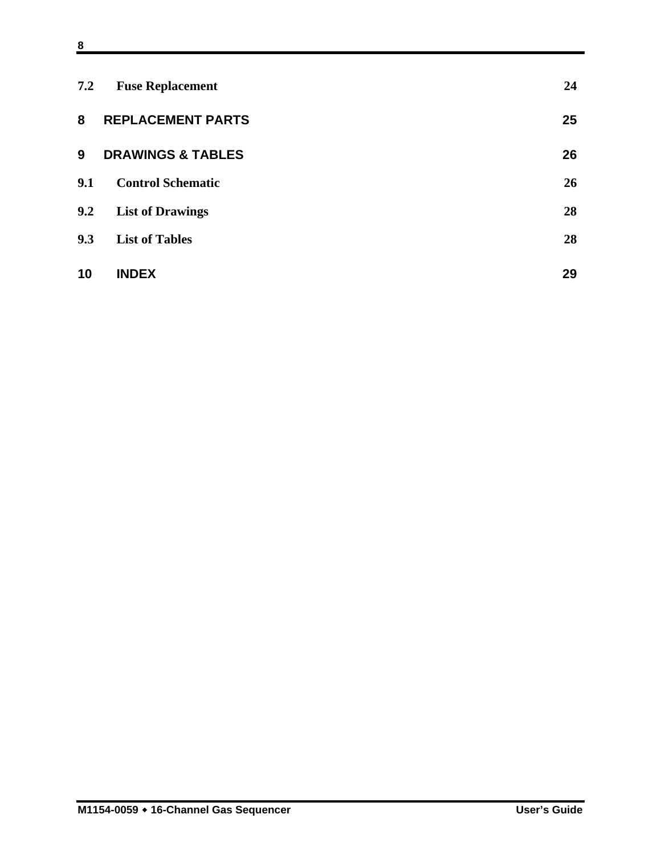| 7.2 | <b>Fuse Replacement</b>      | 24 |
|-----|------------------------------|----|
| 8   | <b>REPLACEMENT PARTS</b>     | 25 |
| 9   | <b>DRAWINGS &amp; TABLES</b> | 26 |
| 9.1 | <b>Control Schematic</b>     | 26 |
| 9.2 | <b>List of Drawings</b>      | 28 |
| 9.3 | <b>List of Tables</b>        | 28 |
| 10  | <b>INDEX</b>                 | 29 |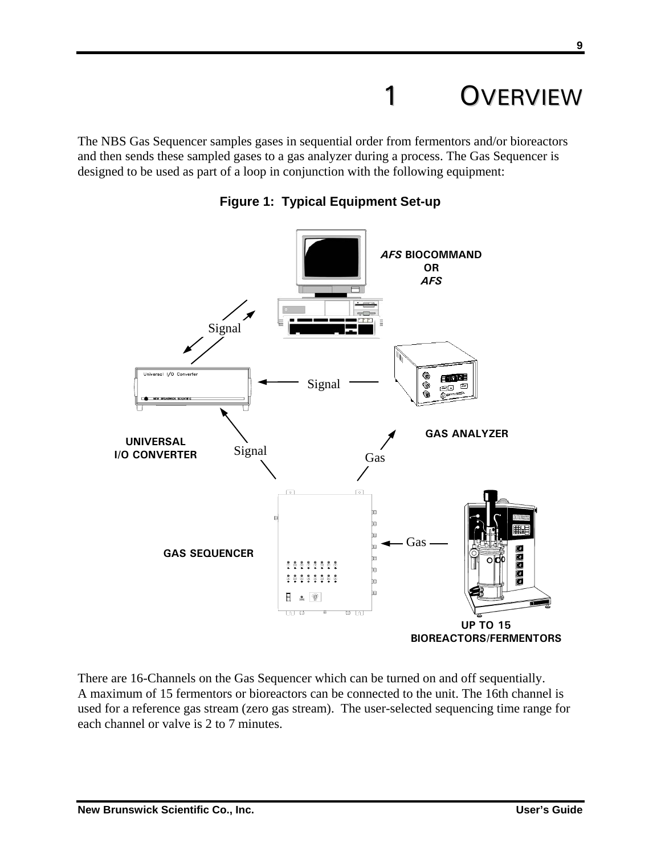## **OVERVIEW**

The NBS Gas Sequencer samples gases in sequential order from fermentors and/or bioreactors and then sends these sampled gases to a gas analyzer during a process. The Gas Sequencer is designed to be used as part of a loop in conjunction with the following equipment:



**Figure 1: Typical Equipment Set-up** 

There are 16-Channels on the Gas Sequencer which can be turned on and off sequentially. A maximum of 15 fermentors or bioreactors can be connected to the unit. The 16th channel is used for a reference gas stream (zero gas stream). The user-selected sequencing time range for each channel or valve is 2 to 7 minutes.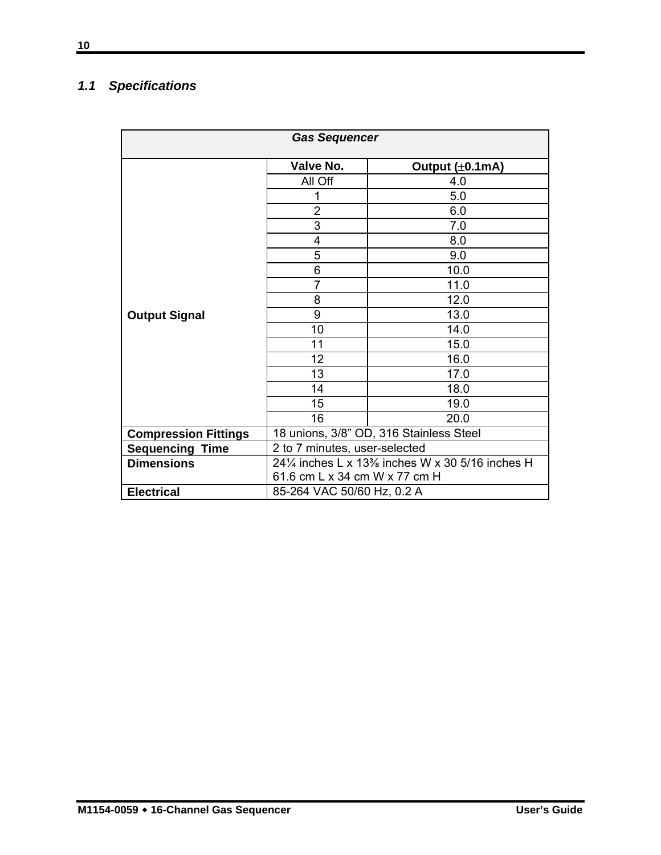### *1.1 Specifications*

| <b>Gas Sequencer</b>        |                                                  |                 |  |
|-----------------------------|--------------------------------------------------|-----------------|--|
|                             | Valve No.                                        | Output (±0.1mA) |  |
|                             | All Off                                          | 4.0             |  |
|                             | 1                                                | 5.0             |  |
|                             | 2                                                | 6.0             |  |
|                             | 3                                                | 7.0             |  |
|                             | 4                                                | 8.0             |  |
|                             | 5                                                | 9.0             |  |
|                             | 6                                                | 10.0            |  |
|                             | $\overline{7}$                                   | 11.0            |  |
|                             | 8                                                | 12.0            |  |
| <b>Output Signal</b>        | 9                                                | 13.0            |  |
|                             | 10                                               | 14.0            |  |
|                             | 11                                               | 15.0            |  |
|                             | 12                                               | 16.0            |  |
|                             | 13                                               | 17.0            |  |
|                             | 14                                               | 18.0            |  |
|                             | 15                                               | 19.0            |  |
|                             | 16                                               | 20.0            |  |
| <b>Compression Fittings</b> | 18 unions, 3/8" OD, 316 Stainless Steel          |                 |  |
| <b>Sequencing Time</b>      | 2 to 7 minutes, user-selected                    |                 |  |
| <b>Dimensions</b>           | 241/4 inches L x 13% inches W x 30 5/16 inches H |                 |  |
|                             | 61.6 cm L x 34 cm W x 77 cm H                    |                 |  |
| <b>Electrical</b>           | 85-264 VAC 50/60 Hz, 0.2 A                       |                 |  |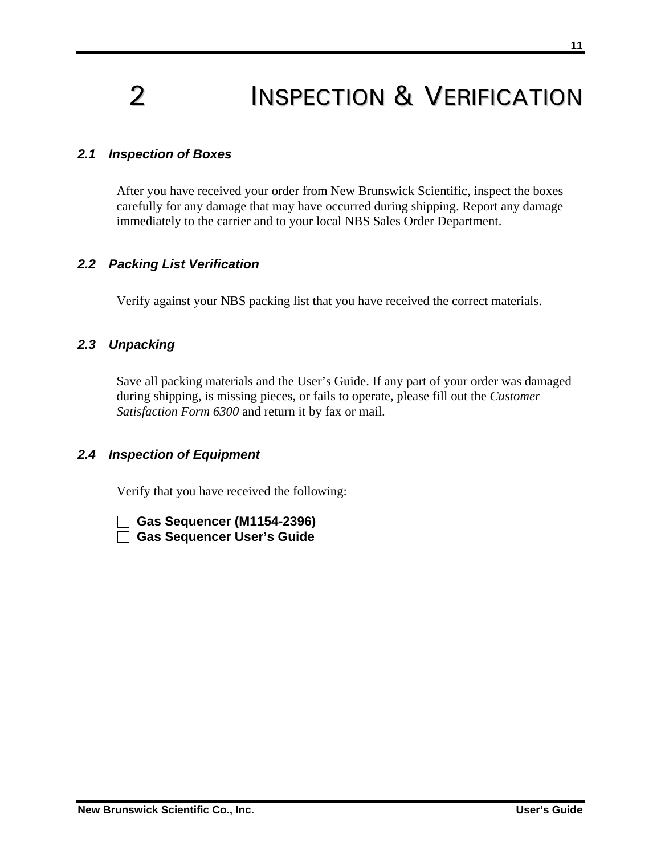## 2 **INSPECTION & VERIFICATION**

#### *2.1 Inspection of Boxes*

After you have received your order from New Brunswick Scientific, inspect the boxes carefully for any damage that may have occurred during shipping. Report any damage immediately to the carrier and to your local NBS Sales Order Department.

#### *2.2 Packing List Verification*

Verify against your NBS packing list that you have received the correct materials.

#### *2.3 Unpacking*

Save all packing materials and the User's Guide. If any part of your order was damaged during shipping, is missing pieces, or fails to operate, please fill out the *Customer Satisfaction Form 6300* and return it by fax or mail.

#### *2.4 Inspection of Equipment*

Verify that you have received the following:

 **Gas Sequencer (M1154-2396) Gas Sequencer User's Guide**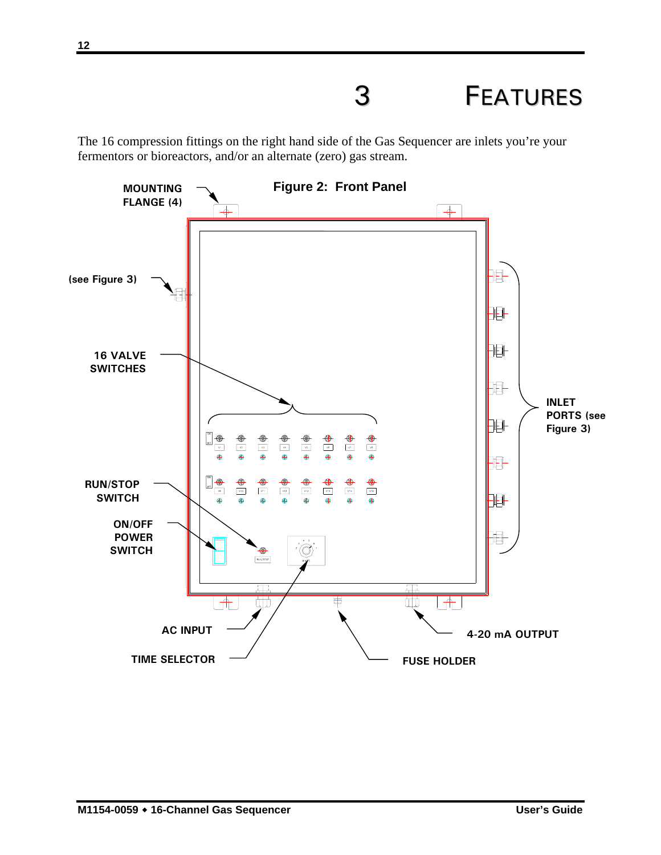## 3 FEATURES

The 16 compression fittings on the right hand side of the Gas Sequencer are inlets you're your fermentors or bioreactors, and/or an alternate (zero) gas stream.

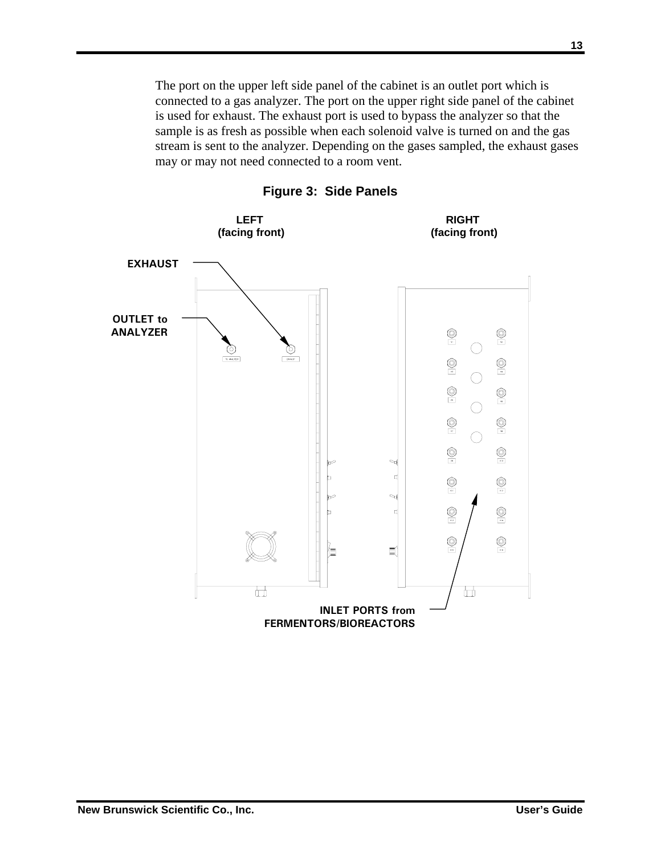The port on the upper left side panel of the cabinet is an outlet port which is connected to a gas analyzer. The port on the upper right side panel of the cabinet is used for exhaust. The exhaust port is used to bypass the analyzer so that the sample is as fresh as possible when each solenoid valve is turned on and the gas stream is sent to the analyzer. Depending on the gases sampled, the exhaust gases may or may not need connected to a room vent.



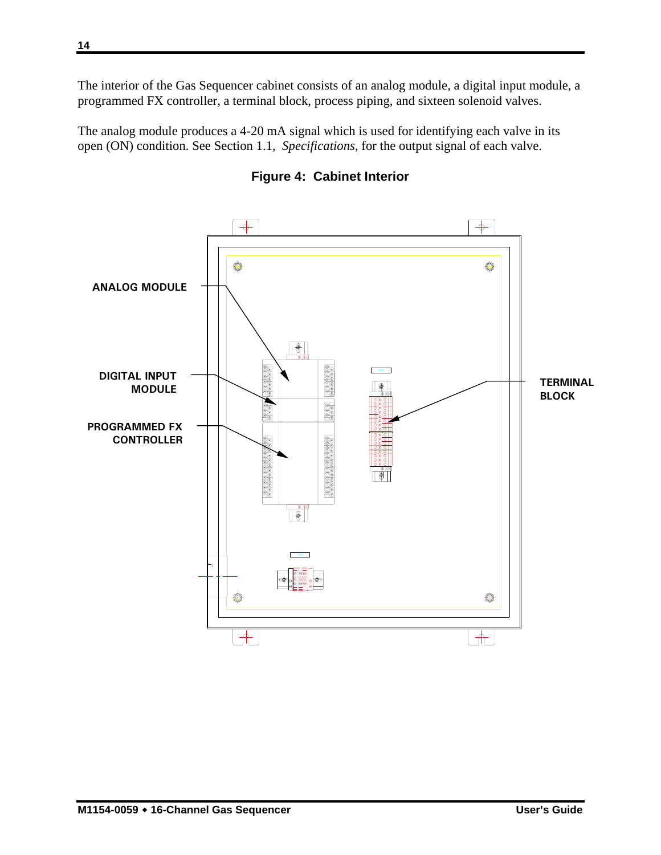The interior of the Gas Sequencer cabinet consists of an analog module, a digital input module, a programmed FX controller, a terminal block, process piping, and sixteen solenoid valves.

The analog module produces a 4-20 mA signal which is used for identifying each valve in its open (ON) condition. See Section 1.1, *Specifications*, for the output signal of each valve.



**Figure 4: Cabinet Interior**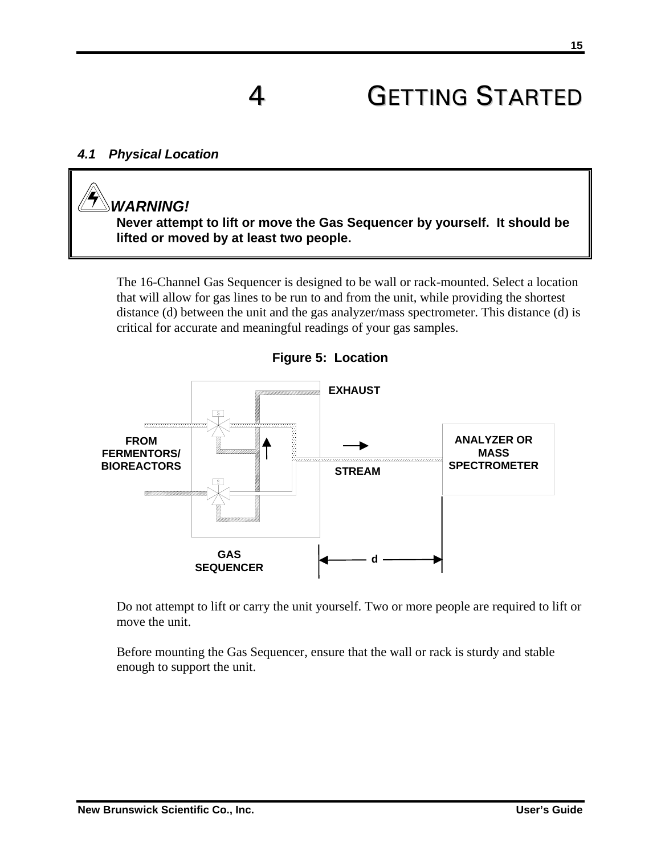## **GETTING STARTED**

#### *4.1 Physical Location*

## *WARNING!*

**Never attempt to lift or move the Gas Sequencer by yourself. It should be lifted or moved by at least two people.** 

The 16-Channel Gas Sequencer is designed to be wall or rack-mounted. Select a location that will allow for gas lines to be run to and from the unit, while providing the shortest distance (d) between the unit and the gas analyzer/mass spectrometer. This distance (d) is critical for accurate and meaningful readings of your gas samples.



**Figure 5: Location** 

Do not attempt to lift or carry the unit yourself. Two or more people are required to lift or move the unit.

Before mounting the Gas Sequencer, ensure that the wall or rack is sturdy and stable enough to support the unit.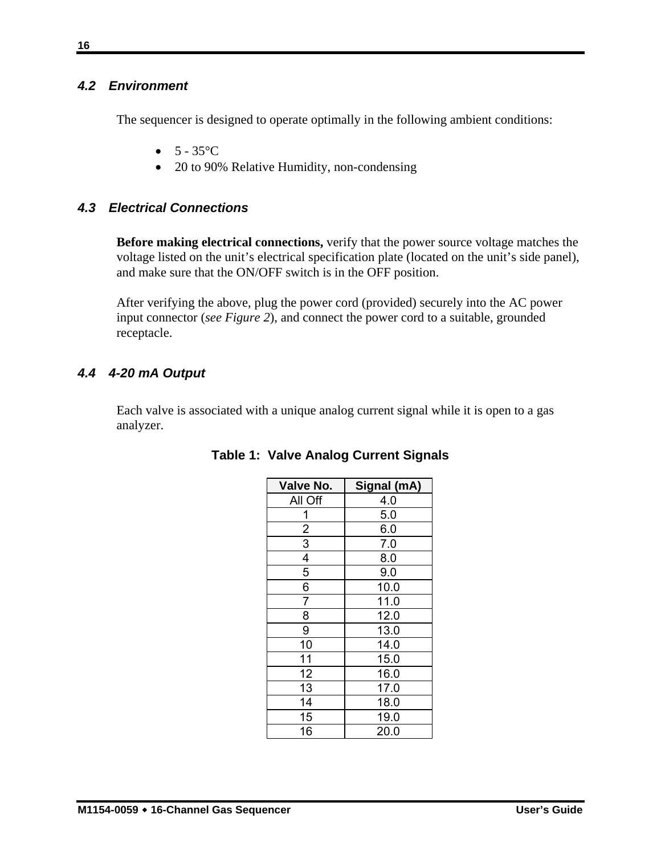#### *4.2 Environment*

The sequencer is designed to operate optimally in the following ambient conditions:

- $5 35^{\circ}C$
- 20 to 90% Relative Humidity, non-condensing

#### *4.3 Electrical Connections*

**Before making electrical connections,** verify that the power source voltage matches the voltage listed on the unit's electrical specification plate (located on the unit's side panel), and make sure that the ON/OFF switch is in the OFF position.

After verifying the above, plug the power cord (provided) securely into the AC power input connector (*see Figure 2*), and connect the power cord to a suitable, grounded receptacle.

#### *4.4 4-20 mA Output*

Each valve is associated with a unique analog current signal while it is open to a gas analyzer.

| Valve No.      | Signal (mA) |
|----------------|-------------|
| All Off        | 4.0         |
| 1              | 5.0         |
| $\overline{c}$ | 6.0         |
| 3              | 7.0         |
| 4              | 8.0         |
| 5              | 9.0         |
| 6              | 10.0        |
| $\overline{7}$ | 11.0        |
| 8              | 12.0        |
| 9              | 13.0        |
| 10             | 14.0        |
| 11             | 15.0        |
| 12             | 16.0        |
| 13             | 17.0        |
| 14             | 18.0        |
| 15             | 19.0        |
| 16             | 20.0        |

#### **Table 1: Valve Analog Current Signals**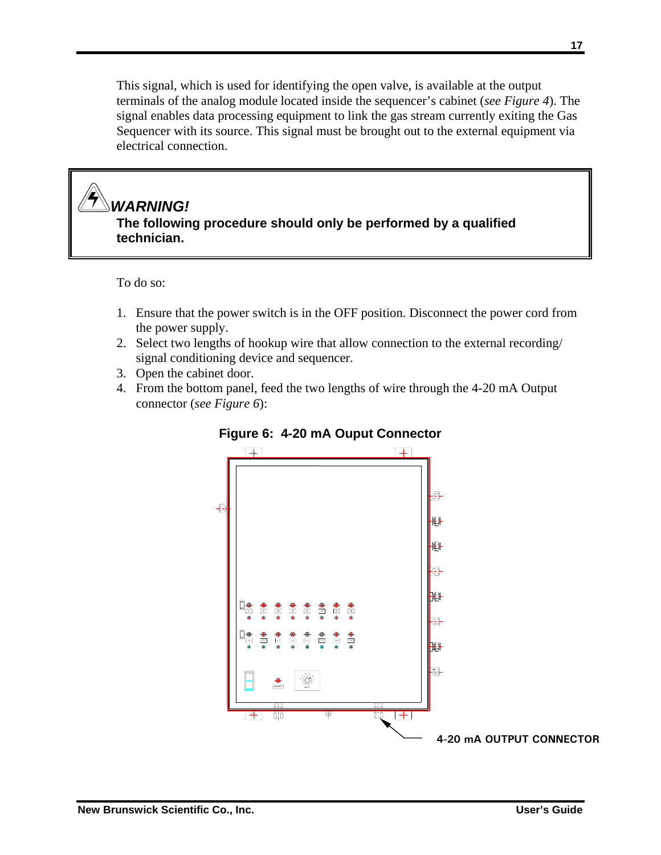This signal, which is used for identifying the open valve, is available at the output terminals of the analog module located inside the sequencer's cabinet (*see Figure 4*). The signal enables data processing equipment to link the gas stream currently exiting the Gas Sequencer with its source. This signal must be brought out to the external equipment via electrical connection.

#### *WARNING!*  **The following procedure should only be performed by a qualified technician.**

To do so:

- 1. Ensure that the power switch is in the OFF position. Disconnect the power cord from the power supply.
- 2. Select two lengths of hookup wire that allow connection to the external recording/ signal conditioning device and sequencer.
- 3. Open the cabinet door.
- 4. From the bottom panel, feed the two lengths of wire through the 4-20 mA Output connector (*see Figure 6*):



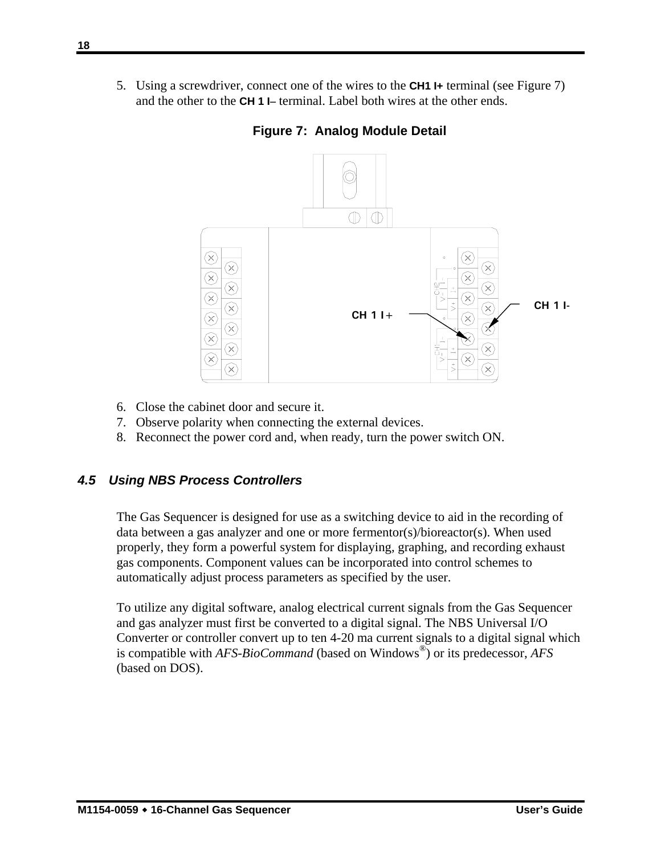5. Using a screwdriver, connect one of the wires to the **CH1 I+** terminal (see Figure 7) and the other to the **CH 1 I**− terminal. Label both wires at the other ends.



**Figure 7: Analog Module Detail**

- 6. Close the cabinet door and secure it.
- 7. Observe polarity when connecting the external devices.
- 8. Reconnect the power cord and, when ready, turn the power switch ON.

#### *4.5 Using NBS Process Controllers*

The Gas Sequencer is designed for use as a switching device to aid in the recording of data between a gas analyzer and one or more fermentor(s)/bioreactor(s). When used properly, they form a powerful system for displaying, graphing, and recording exhaust gas components. Component values can be incorporated into control schemes to automatically adjust process parameters as specified by the user.

To utilize any digital software, analog electrical current signals from the Gas Sequencer and gas analyzer must first be converted to a digital signal. The NBS Universal I/O Converter or controller convert up to ten 4-20 ma current signals to a digital signal which is compatible with *AFS-BioCommand* (based on Windows®) or its predecessor, *AFS* (based on DOS).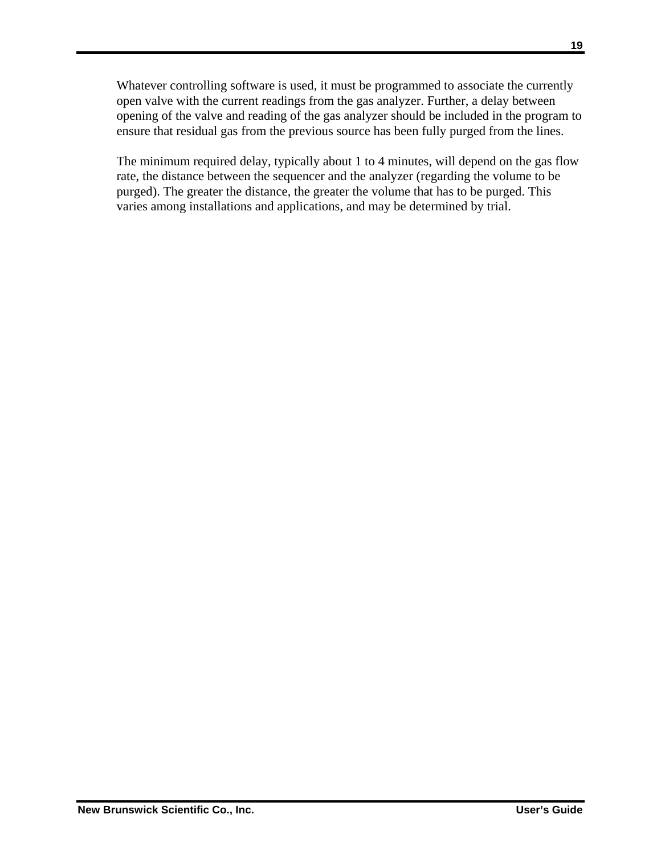Whatever controlling software is used, it must be programmed to associate the currently open valve with the current readings from the gas analyzer. Further, a delay between opening of the valve and reading of the gas analyzer should be included in the program to ensure that residual gas from the previous source has been fully purged from the lines.

The minimum required delay, typically about 1 to 4 minutes, will depend on the gas flow rate, the distance between the sequencer and the analyzer (regarding the volume to be purged). The greater the distance, the greater the volume that has to be purged. This varies among installations and applications, and may be determined by trial.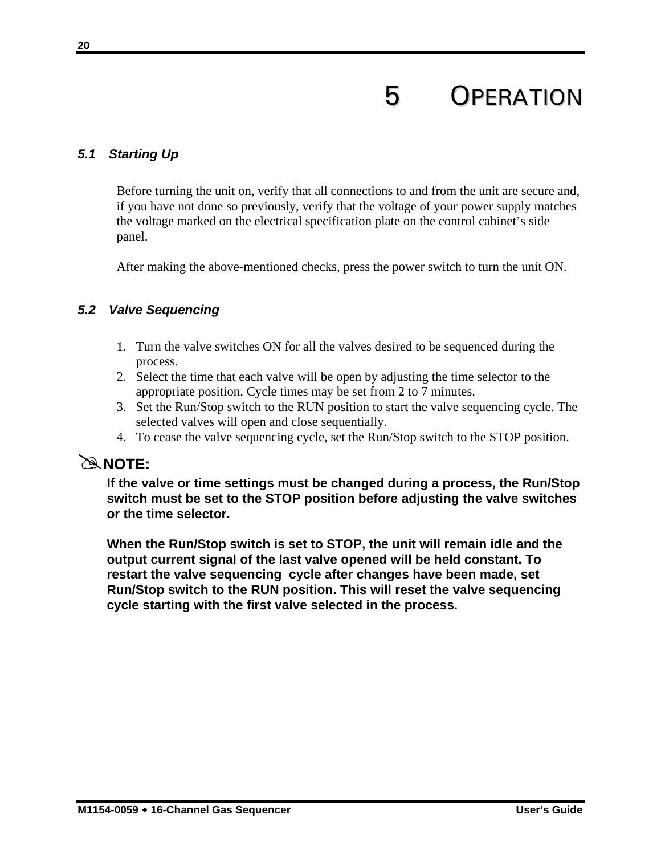## 5 OPERATION

#### *5.1 Starting Up*

Before turning the unit on, verify that all connections to and from the unit are secure and, if you have not done so previously, verify that the voltage of your power supply matches the voltage marked on the electrical specification plate on the control cabinet's side panel.

After making the above-mentioned checks, press the power switch to turn the unit ON.

#### *5.2 Valve Sequencing*

- 1. Turn the valve switches ON for all the valves desired to be sequenced during the process.
- 2. Select the time that each valve will be open by adjusting the time selector to the appropriate position. Cycle times may be set from 2 to 7 minutes.
- 3. Set the Run/Stop switch to the RUN position to start the valve sequencing cycle. The selected valves will open and close sequentially.
- 4. To cease the valve sequencing cycle, set the Run/Stop switch to the STOP position.

#### #**NOTE:**

**If the valve or time settings must be changed during a process, the Run/Stop switch must be set to the STOP position before adjusting the valve switches or the time selector.** 

**When the Run/Stop switch is set to STOP, the unit will remain idle and the output current signal of the last valve opened will be held constant. To restart the valve sequencing cycle after changes have been made, set Run/Stop switch to the RUN position. This will reset the valve sequencing cycle starting with the first valve selected in the process.**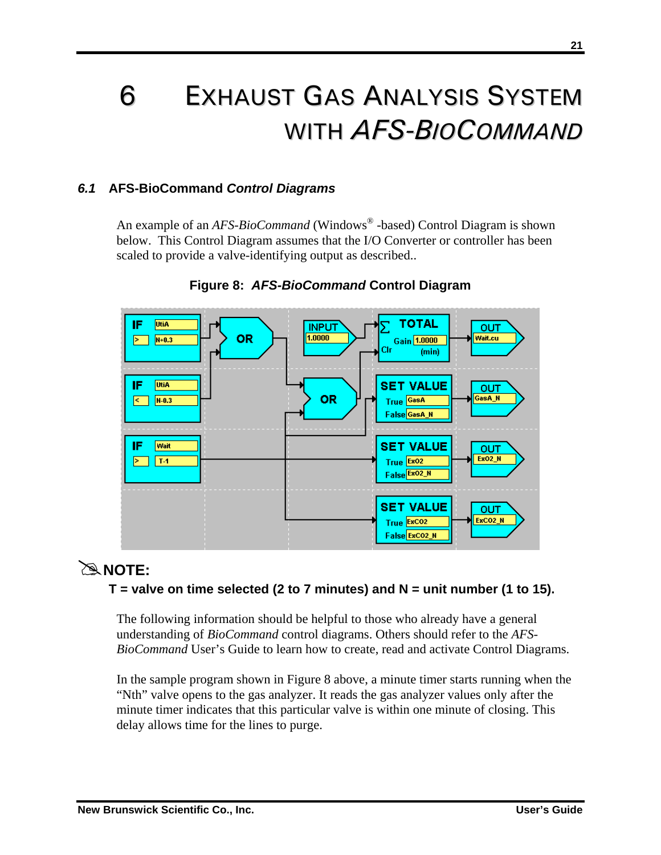## 6 EXHAUST GAS ANALYSIS SYSTEM WITH *AFS-BIOCOMMAND*

#### *6.1* **AFS-BioCommand** *Control Diagrams*

An example of an *AFS-BioCommand* (Windows<sup>®</sup> -based) Control Diagram is shown below. This Control Diagram assumes that the I/O Converter or controller has been scaled to provide a valve-identifying output as described..



#### **Figure 8:** *AFS-BioCommand* **Control Diagram**

## #**NOTE:**

#### **T = valve on time selected (2 to 7 minutes) and N = unit number (1 to 15).**

The following information should be helpful to those who already have a general understanding of *BioCommand* control diagrams. Others should refer to the *AFS-BioCommand* User's Guide to learn how to create, read and activate Control Diagrams.

In the sample program shown in Figure 8 above, a minute timer starts running when the "Nth" valve opens to the gas analyzer. It reads the gas analyzer values only after the minute timer indicates that this particular valve is within one minute of closing. This delay allows time for the lines to purge.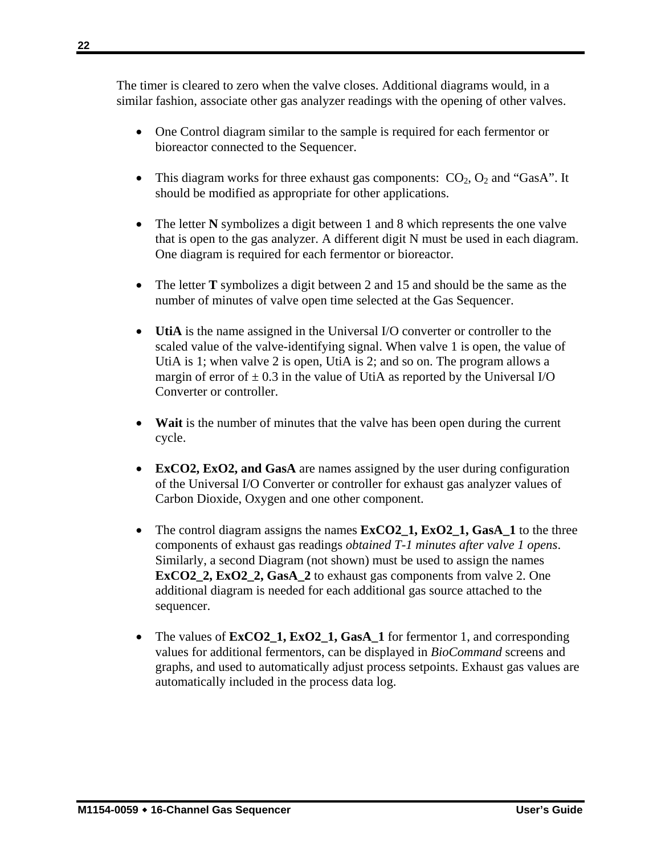The timer is cleared to zero when the valve closes. Additional diagrams would, in a similar fashion, associate other gas analyzer readings with the opening of other valves.

- One Control diagram similar to the sample is required for each fermentor or bioreactor connected to the Sequencer.
- This diagram works for three exhaust gas components:  $CO<sub>2</sub>, O<sub>2</sub>$  and "GasA". It should be modified as appropriate for other applications.
- The letter **N** symbolizes a digit between 1 and 8 which represents the one valve that is open to the gas analyzer. A different digit N must be used in each diagram. One diagram is required for each fermentor or bioreactor.
- The letter **T** symbolizes a digit between 2 and 15 and should be the same as the number of minutes of valve open time selected at the Gas Sequencer.
- **UtiA** is the name assigned in the Universal I/O converter or controller to the scaled value of the valve-identifying signal. When valve 1 is open, the value of UtiA is 1; when valve 2 is open, UtiA is 2; and so on. The program allows a margin of error of  $\pm$  0.3 in the value of UtiA as reported by the Universal I/O Converter or controller.
- **Wait** is the number of minutes that the valve has been open during the current cycle.
- **ExCO2, ExO2, and GasA** are names assigned by the user during configuration of the Universal I/O Converter or controller for exhaust gas analyzer values of Carbon Dioxide, Oxygen and one other component.
- The control diagram assigns the names  $ExCO2_1$ ,  $ExO2_1$ ,  $GasA_1$  to the three components of exhaust gas readings *obtained T-1 minutes after valve 1 opens*. Similarly, a second Diagram (not shown) must be used to assign the names **ExCO2\_2, ExO2\_2, GasA\_2** to exhaust gas components from valve 2. One additional diagram is needed for each additional gas source attached to the sequencer.
- The values of  $ExCO2_1$ ,  $ExO2_1$ ,  $GasA_1$  for fermentor 1, and corresponding values for additional fermentors, can be displayed in *BioCommand* screens and graphs, and used to automatically adjust process setpoints. Exhaust gas values are automatically included in the process data log.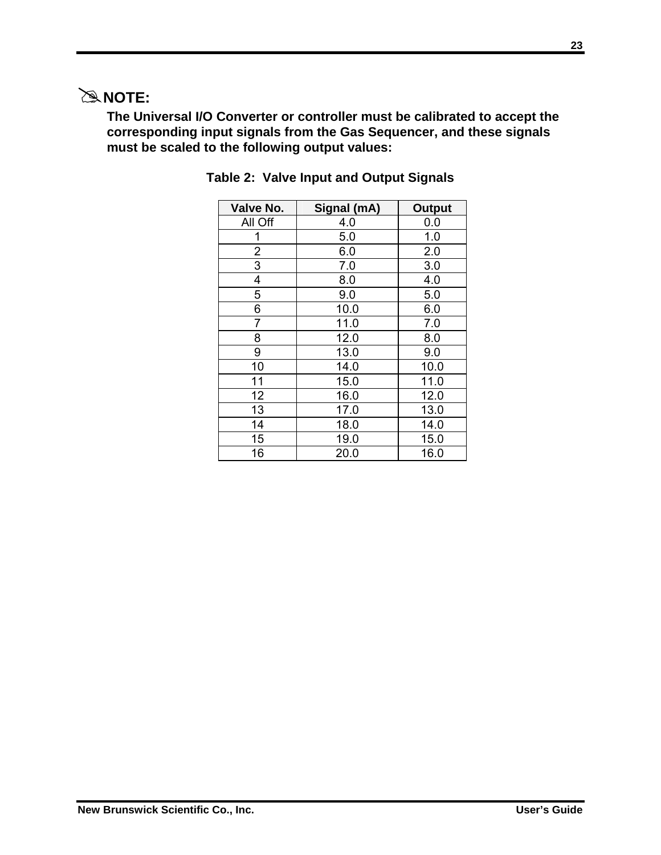## #**NOTE:**

**The Universal I/O Converter or controller must be calibrated to accept the corresponding input signals from the Gas Sequencer, and these signals must be scaled to the following output values:** 

| Valve No. | Signal (mA) | <b>Output</b> |
|-----------|-------------|---------------|
| All Off   | 4.0         | 0.0           |
| 1         | 5.0         | 1.0           |
| 2         | 6.0         | 2.0           |
| 3         | 7.0         | 3.0           |
| 4         | 8.0         | 4.0           |
| 5         | 9.0         | 5.0           |
| 6         | 10.0        | 6.0           |
| 7         | 11.0        | 7.0           |
| 8         | 12.0        | 8.0           |
| 9         | 13.0        | 9.0           |
| 10        | 14.0        | 10.0          |
| 11        | 15.0        | 11.0          |
| 12        | 16.0        | 12.0          |
| 13        | 17.0        | 13.0          |
| 14        | 18.0        | 14.0          |
| 15        | 19.0        | 15.0          |
| 16        | 20.0        | 16.0          |

#### **Table 2: Valve Input and Output Signals**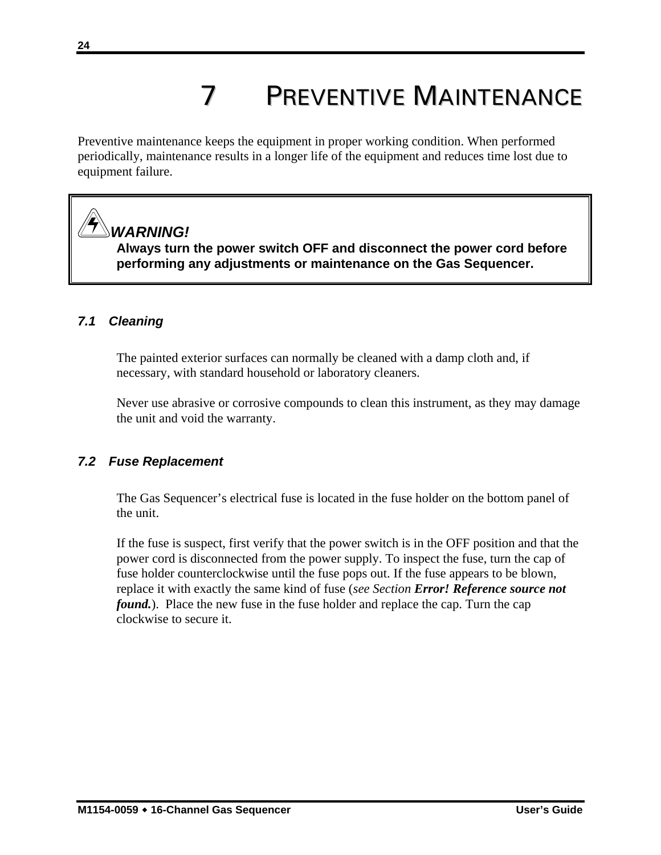# 7 PREVENTIVE MAINTENANCE

Preventive maintenance keeps the equipment in proper working condition. When performed periodically, maintenance results in a longer life of the equipment and reduces time lost due to equipment failure.

## *WARNING!*

**Always turn the power switch OFF and disconnect the power cord before performing any adjustments or maintenance on the Gas Sequencer.** 

#### *7.1 Cleaning*

The painted exterior surfaces can normally be cleaned with a damp cloth and, if necessary, with standard household or laboratory cleaners.

Never use abrasive or corrosive compounds to clean this instrument, as they may damage the unit and void the warranty.

#### *7.2 Fuse Replacement*

The Gas Sequencer's electrical fuse is located in the fuse holder on the bottom panel of the unit.

If the fuse is suspect, first verify that the power switch is in the OFF position and that the power cord is disconnected from the power supply. To inspect the fuse, turn the cap of fuse holder counterclockwise until the fuse pops out. If the fuse appears to be blown, replace it with exactly the same kind of fuse (*see Section Error! Reference source not found.*). Place the new fuse in the fuse holder and replace the cap. Turn the cap clockwise to secure it.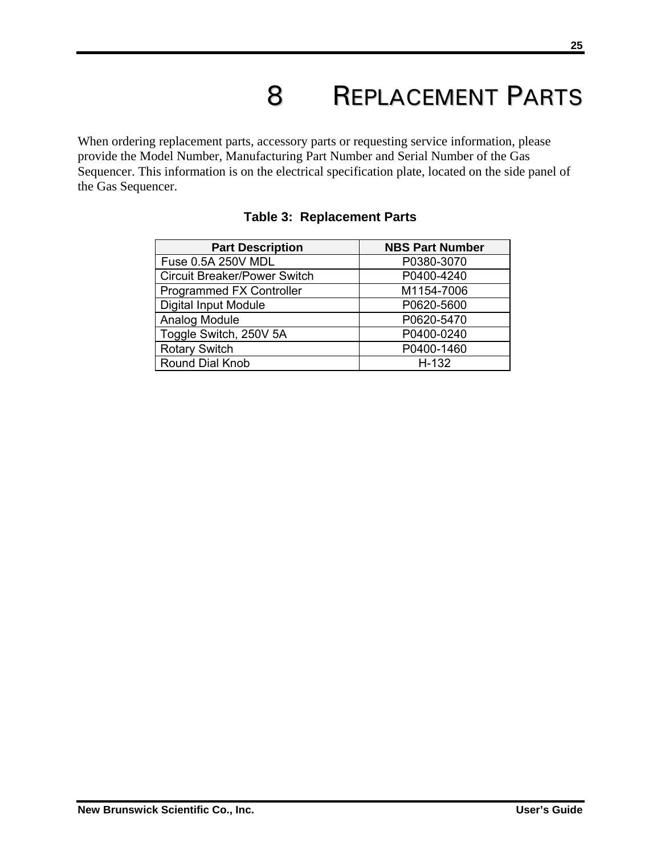## 8 REPLACEMENT PARTS

When ordering replacement parts, accessory parts or requesting service information, please provide the Model Number, Manufacturing Part Number and Serial Number of the Gas Sequencer. This information is on the electrical specification plate, located on the side panel of the Gas Sequencer.

| <b>Part Description</b>             | <b>NBS Part Number</b> |
|-------------------------------------|------------------------|
| Fuse 0.5A 250V MDL                  | P0380-3070             |
| <b>Circuit Breaker/Power Switch</b> | P0400-4240             |
| Programmed FX Controller            | M1154-7006             |
| <b>Digital Input Module</b>         | P0620-5600             |
| Analog Module                       | P0620-5470             |
| Toggle Switch, 250V 5A              | P0400-0240             |
| <b>Rotary Switch</b>                | P0400-1460             |
| <b>Round Dial Knob</b>              | $H-132$                |

#### **Table 3: Replacement Parts**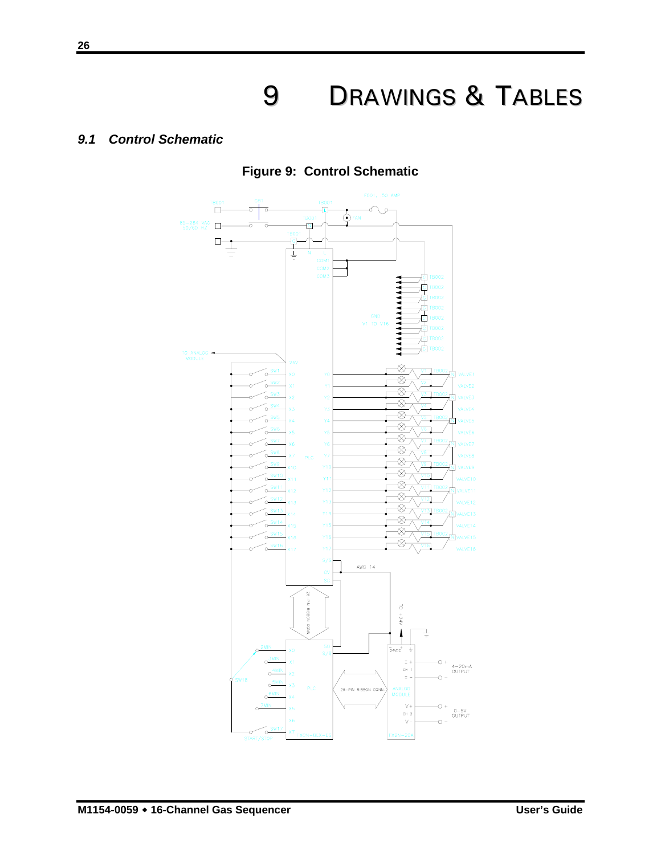## 9 DRAWINGS & TABLES

#### *9.1 Control Schematic*



**Figure 9: Control Schematic**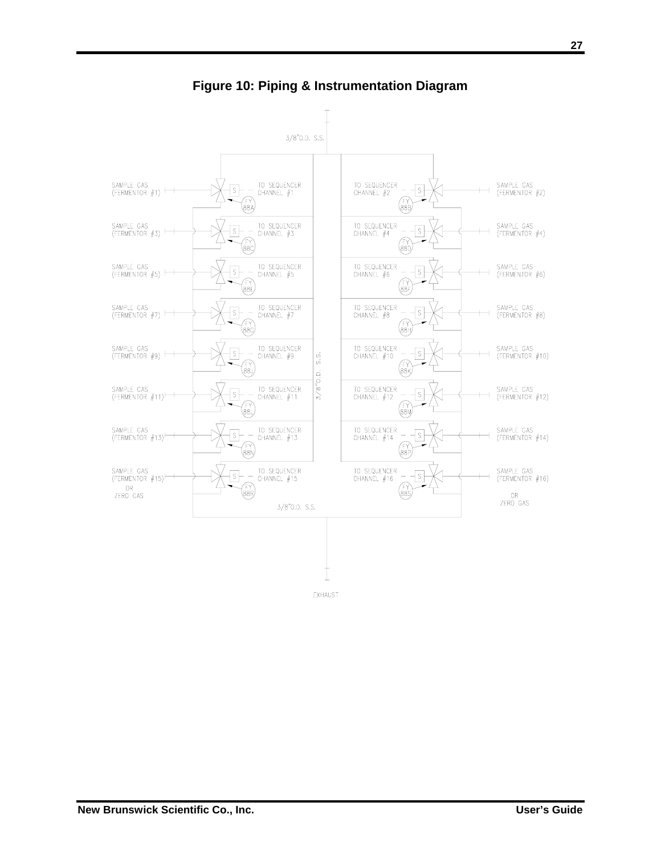

**Figure 10: Piping & Instrumentation Diagram**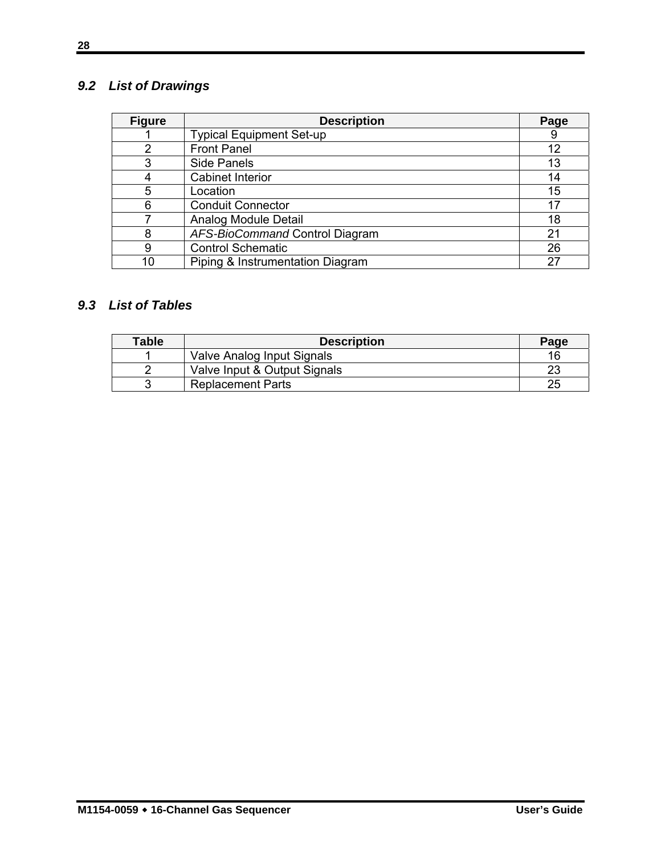### *9.2 List of Drawings*

| <b>Figure</b> | <b>Description</b>               | Page |
|---------------|----------------------------------|------|
|               | <b>Typical Equipment Set-up</b>  | 9    |
|               | <b>Front Panel</b>               | 12   |
| 3             | <b>Side Panels</b>               | 13   |
|               | <b>Cabinet Interior</b>          | 14   |
| 5             | Location                         | 15   |
| 6             | <b>Conduit Connector</b>         | 17   |
|               | Analog Module Detail             | 18   |
| 8             | AFS-BioCommand Control Diagram   | 21   |
| 9             | <b>Control Schematic</b>         | 26   |
| 10            | Piping & Instrumentation Diagram | 27   |

#### *9.3 List of Tables*

| <b>Table</b> | <b>Description</b>           | Page |
|--------------|------------------------------|------|
|              | Valve Analog Input Signals   | 16   |
|              | Valve Input & Output Signals | מר   |
|              | <b>Replacement Parts</b>     | 25   |